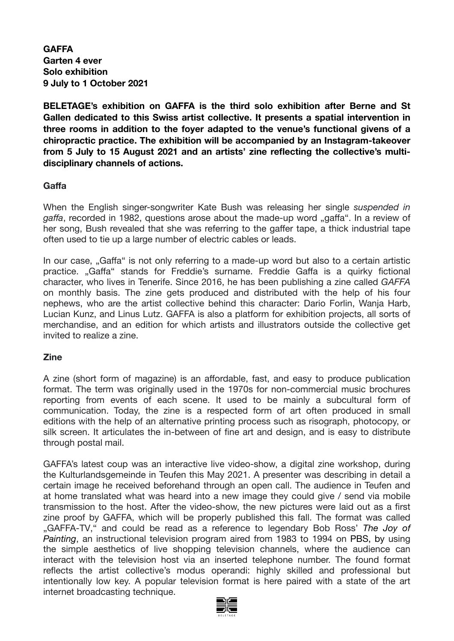**GAFFA Garten 4 ever Solo exhibition 9 July to 1 October 2021** 

**BELETAGE's exhibition on GAFFA is the third solo exhibition after Berne and St Gallen dedicated to this Swiss artist collective. It presents a spatial intervention in three rooms in addition to the foyer adapted to the venue's functional givens of a chiropractic practice. The exhibition will be accompanied by an Instagram-takeover from 5 July to 15 August 2021 and an artists' zine reflecting the collective's multidisciplinary channels of actions.** 

### **Gaffa**

When the English singer-songwriter Kate Bush was releasing her single *suspended in gaffa*, recorded in 1982, questions arose about the made-up word "gaffa". In a review of her song, Bush revealed that she was referring to the gaffer tape, a thick industrial tape often used to tie up a large number of electric cables or leads.

In our case, "Gaffa" is not only referring to a made-up word but also to a certain artistic practice. "Gaffa" stands for Freddie's surname. Freddie Gaffa is a quirky fictional character, who lives in Tenerife. Since 2016, he has been publishing a zine called *GAFFA* on monthly basis. The zine gets produced and distributed with the help of his four nephews, who are the artist collective behind this character: Dario Forlin, Wanja Harb, Lucian Kunz, and Linus Lutz. GAFFA is also a platform for exhibition projects, all sorts of merchandise, and an edition for which artists and illustrators outside the collective get invited to realize a zine.

#### **Zine**

A zine (short form of magazine) is an affordable, fast, and easy to produce publication format. The term was originally used in the 1970s for non-commercial music brochures reporting from events of each scene. It used to be mainly a subcultural form of communication. Today, the zine is a respected form of art often produced in small editions with the help of an alternative printing process such as risograph, photocopy, or silk screen. It articulates the in-between of fine art and design, and is easy to distribute through postal mail.

GAFFA's latest coup was an interactive live video-show, a digital zine workshop, during the Kulturlandsgemeinde in Teufen this May 2021. A presenter was describing in detail a certain image he received beforehand through an open call. The audience in Teufen and at home translated what was heard into a new image they could give / send via mobile transmission to the host. After the video-show, the new pictures were laid out as a first zine proof by GAFFA, which will be properly published this fall. The format was called "GAFFA-TV," and could be read as a reference to legendary Bob Ross' *The Joy of Painting*, an instructional television program aired from 1983 to 1994 on PBS, by using the simple aesthetics of live shopping television channels, where the audience can interact with the television host via an inserted telephone number. The found format reflects the artist collective's modus operandi: highly skilled and professional but intentionally low key. A popular television format is here paired with a state of the art internet broadcasting technique.

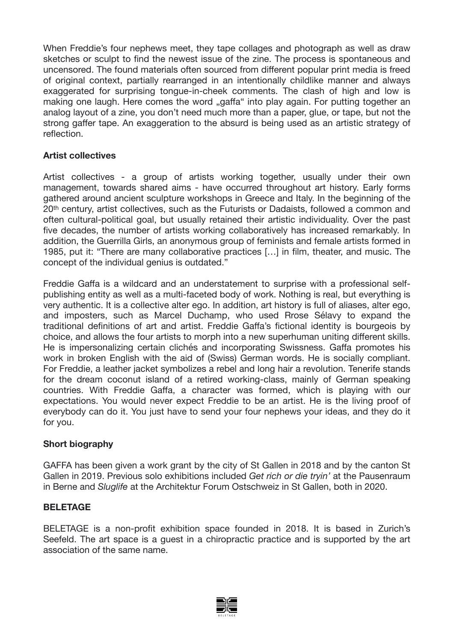When Freddie's four nephews meet, they tape collages and photograph as well as draw sketches or sculpt to find the newest issue of the zine. The process is spontaneous and uncensored. The found materials often sourced from different popular print media is freed of original context, partially rearranged in an intentionally childlike manner and always exaggerated for surprising tongue-in-cheek comments. The clash of high and low is making one laugh. Here comes the word "gaffa" into play again. For putting together an analog layout of a zine, you don't need much more than a paper, glue, or tape, but not the strong gaffer tape. An exaggeration to the absurd is being used as an artistic strategy of reflection.

## **Artist collectives**

Artist collectives - a group of [artists](https://en.wikipedia.org/wiki/Artist) working together, usually under their own [management,](https://en.wikipedia.org/wiki/Management) towards shared aims - have occurred throughout art history. Early forms gathered around ancient sculpture workshops in Greece and Italy. In the beginning of the 20th century, artist collectives, such as the Futurists or Dadaists, followed a common and often cultural-political goal, but usually retained their artistic individuality. Over the past five decades, the number of artists working collaboratively has increased remarkably. In addition, the Guerrilla Girls, an anonymous group of feminists and female artists formed in 1985, put it: "There are many collaborative practices […] in film, theater, and music. The concept of the individual genius is outdated."

Freddie Gaffa is a wildcard and an understatement to surprise with a professional selfpublishing entity as well as a multi-faceted body of work. Nothing is real, but everything is very authentic. It is a collective alter ego. In addition, art history is full of aliases, alter ego, and imposters, such as Marcel Duchamp, who used Rrose Sélavy to expand the traditional definitions of art and artist. Freddie Gaffa's fictional identity is bourgeois by choice, and allows the four artists to morph into a new superhuman uniting different skills. He is impersonalizing certain clichés and incorporating Swissness. Gaffa promotes his work in broken English with the aid of (Swiss) German words. He is socially compliant. For Freddie, a leather jacket symbolizes a rebel and long hair a revolution. Tenerife stands for the dream coconut island of a retired working-class, mainly of German speaking countries. With Freddie Gaffa, a character was formed, which is playing with our expectations. You would never expect Freddie to be an artist. He is the living proof of everybody can do it. You just have to send your four nephews your ideas, and they do it for you.

#### **Short biography**

GAFFA has been given a work grant by the city of St Gallen in 2018 and by the canton St Gallen in 2019. Previous solo exhibitions included *Get rich or die tryin'* at the Pausenraum in Berne and *Sluglife* at the Architektur Forum Ostschweiz in St Gallen, both in 2020.

#### **BELETAGE**

BELETAGE is a non-profit exhibition space founded in 2018. It is based in Zurich's Seefeld. The art space is a guest in a chiropractic practice and is supported by the art association of the same name.